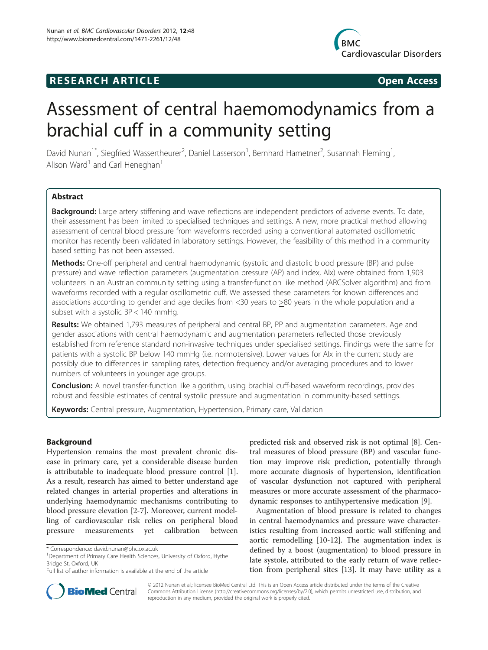# **RESEARCH ARTICLE Example 2018 12:00 Open Access**



# Assessment of central haemomodynamics from a brachial cuff in a community setting

David Nunan<sup>1\*</sup>, Siegfried Wassertheurer<sup>2</sup>, Daniel Lasserson<sup>1</sup>, Bernhard Hametner<sup>2</sup>, Susannah Fleming<sup>1</sup> , Alison Ward<sup>1</sup> and Carl Heneghan<sup>1</sup>

# **Abstract**

Background: Large artery stiffening and wave reflections are independent predictors of adverse events. To date, their assessment has been limited to specialised techniques and settings. A new, more practical method allowing assessment of central blood pressure from waveforms recorded using a conventional automated oscillometric monitor has recently been validated in laboratory settings. However, the feasibility of this method in a community based setting has not been assessed.

Methods: One-off peripheral and central haemodynamic (systolic and diastolic blood pressure (BP) and pulse pressure) and wave reflection parameters (augmentation pressure (AP) and index, AIx) were obtained from 1,903 volunteers in an Austrian community setting using a transfer-function like method (ARCSolver algorithm) and from waveforms recorded with a regular oscillometric cuff. We assessed these parameters for known differences and associations according to gender and age deciles from <30 years to >80 years in the whole population and a subset with a systolic BP < 140 mmHg.

Results: We obtained 1,793 measures of peripheral and central BP, PP and augmentation parameters. Age and gender associations with central haemodynamic and augmentation parameters reflected those previously established from reference standard non-invasive techniques under specialised settings. Findings were the same for patients with a systolic BP below 140 mmHg (i.e. normotensive). Lower values for AIx in the current study are possibly due to differences in sampling rates, detection frequency and/or averaging procedures and to lower numbers of volunteers in younger age groups.

Conclusion: A novel transfer-function like algorithm, using brachial cuff-based waveform recordings, provides robust and feasible estimates of central systolic pressure and augmentation in community-based settings.

Keywords: Central pressure, Augmentation, Hypertension, Primary care, Validation

# Background

Hypertension remains the most prevalent chronic disease in primary care, yet a considerable disease burden is attributable to inadequate blood pressure control [\[1](#page-7-0)]. As a result, research has aimed to better understand age related changes in arterial properties and alterations in underlying haemodynamic mechanisms contributing to blood pressure elevation [[2](#page-7-0)[-7\]](#page-8-0). Moreover, current modelling of cardiovascular risk relies on peripheral blood pressure measurements yet calibration between

predicted risk and observed risk is not optimal [\[8\]](#page-8-0). Central measures of blood pressure (BP) and vascular function may improve risk prediction, potentially through more accurate diagnosis of hypertension, identification of vascular dysfunction not captured with peripheral measures or more accurate assessment of the pharmacodynamic responses to antihypertensive medication [\[9](#page-8-0)].

Augmentation of blood pressure is related to changes in central haemodynamics and pressure wave characteristics resulting from increased aortic wall stiffening and aortic remodelling [[10-12\]](#page-8-0). The augmentation index is defined by a boost (augmentation) to blood pressure in late systole, attributed to the early return of wave reflection from peripheral sites [[13\]](#page-8-0). It may have utility as a



© 2012 Nunan et al.; licensee BioMed Central Ltd. This is an Open Access article distributed under the terms of the Creative Commons Attribution License [\(http://creativecommons.org/licenses/by/2.0\)](http://creativecommons.org/licenses/by/2.0), which permits unrestricted use, distribution, and reproduction in any medium, provided the original work is properly cited.

<sup>\*</sup> Correspondence: [david.nunan@phc.ox.ac.uk](mailto:david.nunan@phc.ox.ac.uk) <sup>1</sup>

<sup>&</sup>lt;sup>1</sup>Department of Primary Care Health Sciences, University of Oxford, Hythe Bridge St, Oxford, UK

Full list of author information is available at the end of the article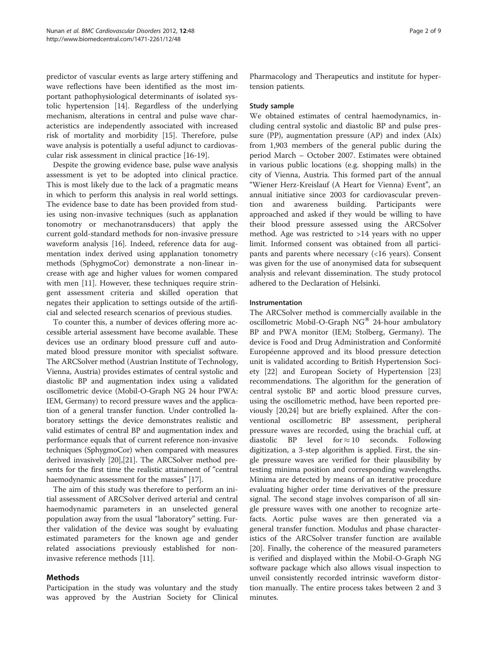predictor of vascular events as large artery stiffening and wave reflections have been identified as the most important pathophysiological determinants of isolated systolic hypertension [[14\]](#page-8-0). Regardless of the underlying mechanism, alterations in central and pulse wave characteristics are independently associated with increased risk of mortality and morbidity [\[15\]](#page-8-0). Therefore, pulse wave analysis is potentially a useful adjunct to cardiovascular risk assessment in clinical practice [[16-19](#page-8-0)].

Despite the growing evidence base, pulse wave analysis assessment is yet to be adopted into clinical practice. This is most likely due to the lack of a pragmatic means in which to perform this analysis in real world settings. The evidence base to date has been provided from studies using non-invasive techniques (such as applanation tonomotry or mechanotransducers) that apply the current gold-standard methods for non-invasive pressure waveform analysis [[16](#page-8-0)]. Indeed, reference data for augmentation index derived using applanation tonometry methods (SphygmoCor) demonstrate a non-linear increase with age and higher values for women compared with men [[11\]](#page-8-0). However, these techniques require stringent assessment criteria and skilled operation that negates their application to settings outside of the artificial and selected research scenarios of previous studies.

To counter this, a number of devices offering more accessible arterial assessment have become available. These devices use an ordinary blood pressure cuff and automated blood pressure monitor with specialist software. The ARCSolver method (Austrian Institute of Technology, Vienna, Austria) provides estimates of central systolic and diastolic BP and augmentation index using a validated oscillometric device (Mobil-O-Graph NG 24 hour PWA: IEM, Germany) to record pressure waves and the application of a general transfer function. Under controlled laboratory settings the device demonstrates realistic and valid estimates of central BP and augmentation index and performance equals that of current reference non-invasive techniques (SphygmoCor) when compared with measures derived invasively [\[20\]](#page-8-0),[[21](#page-8-0)]. The ARCSolver method presents for the first time the realistic attainment of "central haemodynamic assessment for the masses" [\[17\]](#page-8-0).

The aim of this study was therefore to perform an initial assessment of ARCSolver derived arterial and central haemodynamic parameters in an unselected general population away from the usual "laboratory" setting. Further validation of the device was sought by evaluating estimated parameters for the known age and gender related associations previously established for noninvasive reference methods [[11\]](#page-8-0).

# Methods

Participation in the study was voluntary and the study was approved by the Austrian Society for Clinical Pharmacology and Therapeutics and institute for hypertension patients.

# Study sample

We obtained estimates of central haemodynamics, including central systolic and diastolic BP and pulse pressure (PP), augmentation pressure (AP) and index (AIx) from 1,903 members of the general public during the period March – October 2007. Estimates were obtained in various public locations (e.g. shopping malls) in the city of Vienna, Austria. This formed part of the annual "Wiener Herz-Kreislauf (A Heart for Vienna) Event", an annual initiative since 2003 for cardiovascular prevention and awareness building. Participants were approached and asked if they would be willing to have their blood pressure assessed using the ARCSolver method. Age was restricted to >14 years with no upper limit. Informed consent was obtained from all participants and parents where necessary (<16 years). Consent was given for the use of anonymised data for subsequent analysis and relevant dissemination. The study protocol adhered to the Declaration of Helsinki.

# Instrumentation

The ARCSolver method is commercially available in the oscillometric Mobil-O-Graph  $NG^{\circledR}$  24-hour ambulatory BP and PWA monitor (IEM; Stolberg, Germany). The device is Food and Drug Administration and Conformité Européenne approved and its blood pressure detection unit is validated according to British Hypertension Society [\[22\]](#page-8-0) and European Society of Hypertension [[23](#page-8-0)] recommendations. The algorithm for the generation of central systolic BP and aortic blood pressure curves, using the oscillometric method, have been reported previously [\[20,24\]](#page-8-0) but are briefly explained. After the conventional oscillometric BP assessment, peripheral pressure waves are recorded, using the brachial cuff, at diastolic BP level for  $\approx 10$  seconds. Following digitization, a 3-step algorithm is applied. First, the single pressure waves are verified for their plausibility by testing minima position and corresponding wavelengths. Minima are detected by means of an iterative procedure evaluating higher order time derivatives of the pressure signal. The second stage involves comparison of all single pressure waves with one another to recognize artefacts. Aortic pulse waves are then generated via a general transfer function. Modulus and phase characteristics of the ARCSolver transfer function are available [[20\]](#page-8-0). Finally, the coherence of the measured parameters is verified and displayed within the Mobil-O-Graph NG software package which also allows visual inspection to unveil consistently recorded intrinsic waveform distortion manually. The entire process takes between 2 and 3 minutes.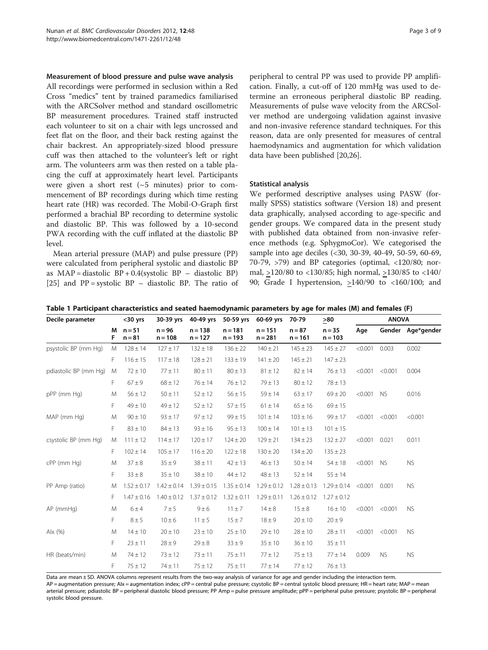#### <span id="page-2-0"></span>Measurement of blood pressure and pulse wave analysis

All recordings were performed in seclusion within a Red Cross "medics" tent by trained paramedics familiarised with the ARCSolver method and standard oscillometric BP measurement procedures. Trained staff instructed each volunteer to sit on a chair with legs uncrossed and feet flat on the floor, and their back resting against the chair backrest. An appropriately-sized blood pressure cuff was then attached to the volunteer's left or right arm. The volunteers arm was then rested on a table placing the cuff at approximately heart level. Participants were given a short rest  $({\sim}5$  minutes) prior to commencement of BP recordings during which time resting heart rate (HR) was recorded. The Mobil-O-Graph first performed a brachial BP recording to determine systolic and diastolic BP. This was followed by a 10-second PWA recording with the cuff inflated at the diastolic BP level.

Mean arterial pressure (MAP) and pulse pressure (PP) were calculated from peripheral systolic and diastolic BP as  $MAP = diastolic BP + 0.4(systolic BP - diastolic BP)$ [[25\]](#page-8-0) and  $PP = systolic BP - diastolic BP$ . The ratio of

peripheral to central PP was used to provide PP amplification. Finally, a cut-off of 120 mmHg was used to determine an erroneous peripheral diastolic BP reading. Measurements of pulse wave velocity from the ARCSolver method are undergoing validation against invasive and non-invasive reference standard techniques. For this reason, data are only presented for measures of central haemodynamics and augmentation for which validation data have been published [\[20,26\]](#page-8-0).

# Statistical analysis

We performed descriptive analyses using PASW (formally SPSS) statistics software (Version 18) and present data graphically, analysed according to age-specific and gender groups. We compared data in the present study with published data obtained from non-invasive reference methods (e.g. SphygmoCor). We categorised the sample into age deciles (<30, 30-39, 40-49, 50-59, 60-69, 70-79, >79) and BP categories (optimal, <120/80; normal, >120/80 to <130/85; high normal, >130/85 to <140/ 90; Grade I hypertension,  $\geq$ 140/90 to <160/100; and

|  | Table 1 Participant characteristics and seated haemodynamic parameters by age for males (M) and females (F) |
|--|-------------------------------------------------------------------------------------------------------------|
|--|-------------------------------------------------------------------------------------------------------------|

| Decile parameter      |        | $30$ yrs             | 30-39 yrs             | 40-49 yrs              | 50-59 yrs              | 60-69 yrs              | 70-79                 | >80                   | <b>ANOVA</b> |           |                   |
|-----------------------|--------|----------------------|-----------------------|------------------------|------------------------|------------------------|-----------------------|-----------------------|--------------|-----------|-------------------|
|                       | М<br>F | $n = 51$<br>$n = 81$ | $n = 96$<br>$n = 108$ | $n = 138$<br>$n = 127$ | $n = 181$<br>$n = 193$ | $n = 151$<br>$n = 281$ | $n = 87$<br>$n = 161$ | $n = 35$<br>$n = 103$ | Age          |           | Gender Age*gender |
| psystolic BP (mm Hg)  | M      | $128 \pm 14$         | $127 \pm 17$          | $132 \pm 18$           | $136 \pm 22$           | $140 \pm 21$           | $145 \pm 23$          | $145 \pm 27$          | < 0.001      | 0.003     | 0.002             |
|                       | F      | $116 \pm 15$         | $117 \pm 18$          | $128 \pm 21$           | $133 \pm 19$           | $141 \pm 20$           | $145 \pm 21$          | $147 \pm 23$          |              |           |                   |
| pdiastolic BP (mm Hg) | M      | $72 \pm 10$          | $77 \pm 11$           | $80 \pm 11$            | $80 \pm 13$            | $81 \pm 12$            | $82 \pm 14$           | $76 \pm 13$           | < 0.001      | < 0.001   | 0.004             |
|                       | F      | $67 \pm 9$           | $68 \pm 12$           | $76 \pm 14$            | $76 \pm 12$            | $79 \pm 13$            | $80 \pm 12$           | $78 \pm 13$           |              |           |                   |
| pPP (mm Hg)           | M      | $56 \pm 12$          | $50 \pm 11$           | $52 \pm 12$            | $56 \pm 15$            | $59 \pm 14$            | $63 \pm 17$           | $69 \pm 20$           | < 0.001      | <b>NS</b> | 0.016             |
|                       | F      | $49 \pm 10$          | $49 \pm 12$           | $52 \pm 12$            | $57 + 15$              | $61 \pm 14$            | $65 \pm 16$           | $69 \pm 15$           |              |           |                   |
| MAP (mm Hg)           | M      | $90 \pm 10$          | $93 \pm 17$           | $97 \pm 12$            | $99 \pm 15$            | $101 \pm 14$           | $103 \pm 16$          | $99 \pm 17$           | < 0.001      | < 0.001   | < 0.001           |
|                       | F      | $83 \pm 10$          | $84 \pm 13$           | $93 \pm 16$            | $95 \pm 13$            | $100 \pm 14$           | $101 \pm 13$          | $101 \pm 15$          |              |           |                   |
| csystolic BP (mm Hg)  | M      | $111 \pm 12$         | $114 \pm 17$          | $120 \pm 17$           | $124 \pm 20$           | $129 \pm 21$           | $134 \pm 23$          | $132 \pm 27$          | < 0.001      | 0.021     | 0.011             |
|                       | F.     | $102 \pm 14$         | $105 \pm 17$          | $116 \pm 20$           | $122 \pm 18$           | $130 \pm 20$           | $134 \pm 20$          | $135 \pm 23$          |              |           |                   |
| cPP (mm Hg)           | M      | $37 \pm 8$           | $35 \pm 9$            | $38 \pm 11$            | $42 \pm 13$            | $46 \pm 13$            | $50 \pm 14$           | $54 \pm 18$           | < 0.001      | <b>NS</b> | <b>NS</b>         |
|                       | F      | $33 \pm 8$           | $35 \pm 10$           | $38 \pm 10$            | $44 \pm 12$            | $48 \pm 13$            | $52 \pm 14$           | $55 \pm 14$           |              |           |                   |
| PP Amp (ratio)        | M      | $1.52 \pm 0.17$      | $1.42 \pm 0.14$       | $1.39 \pm 0.15$        | $1.35 \pm 0.14$        | $1.29 \pm 0.12$        | $1.28 \pm 0.13$       | $1.29 \pm 0.14$       | < 0.001      | 0.001     | <b>NS</b>         |
|                       | F.     | $1.47 \pm 0.16$      | $1.40 \pm 0.12$       | $1.37 \pm 0.12$        | $1.32 \pm 0.11$        | $1.29 \pm 0.11$        | $1.26 \pm 0.12$       | $1.27 \pm 0.12$       |              |           |                   |
| $AP$ (mmHg)           | M      | 6±4                  | 7±5                   | 9±6                    | $11 \pm 7$             | $14 \pm 8$             | $15 \pm 8$            | $16 \pm 10$           | < 0.001      | < 0.001   | <b>NS</b>         |
|                       | F      | $8 \pm 5$            | $10 \pm 6$            | $11 \pm 5$             | $15 \pm 7$             | $18 \pm 9$             | $20 \pm 10$           | $20 \pm 9$            |              |           |                   |
| Alx $(%)$             | M      | $14 \pm 10$          | $20 \pm 10$           | $23 \pm 10$            | $25 \pm 10$            | $29 \pm 10$            | $28 \pm 10$           | $28 \pm 11$           | < 0.001      | < 0.001   | <b>NS</b>         |
|                       | F      | $23 \pm 11$          | $28 \pm 9$            | $29 \pm 8$             | $33 \pm 9$             | $35 \pm 10$            | $36 \pm 10$           | $35 \pm 11$           |              |           |                   |
| HR (beats/min)        | M      | $74 \pm 12$          | $73 \pm 12$           | $73 \pm 11$            | $75 \pm 11$            | $77 \pm 12$            | $75 \pm 13$           | $77 \pm 14$           | 0.009        | <b>NS</b> | <b>NS</b>         |
|                       | F      | $75 \pm 12$          | $74 \pm 11$           | $75 \pm 12$            | $75 \pm 11$            | $77 \pm 14$            | $77 \pm 12$           | $76 \pm 13$           |              |           |                   |

Data are mean ± SD. ANOVA columns represent results from the two-way analysis of variance for age and gender including the interaction term.

AP = augmentation pressure; Alx = augmentation index; cPP = central pulse pressure; csystolic BP = central systolic blood pressure; HR = heart rate; MAP = mean arterial pressure; pdiastolic BP = peripheral diastolic blood pressure; PP Amp = pulse pressure amplitude; pPP = peripheral pulse pressure; psystolic BP = periphera systolic blood pressure.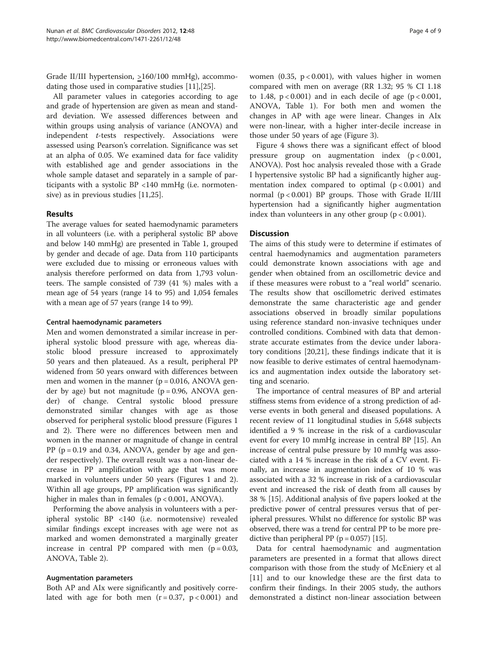Grade II/III hypertension, >160/100 mmHg), accommodating those used in comparative studies [[11](#page-8-0)],[[25\]](#page-8-0).

All parameter values in categories according to age and grade of hypertension are given as mean and standard deviation. We assessed differences between and within groups using analysis of variance (ANOVA) and independent *t*-tests respectively. Associations were assessed using Pearson's correlation. Significance was set at an alpha of 0.05. We examined data for face validity with established age and gender associations in the whole sample dataset and separately in a sample of participants with a systolic BP <140 mmHg (i.e. normotensive) as in previous studies [\[11,25\]](#page-8-0).

# Results

The average values for seated haemodynamic parameters in all volunteers (i.e. with a peripheral systolic BP above and below 140 mmHg) are presented in Table [1](#page-2-0), grouped by gender and decade of age. Data from 110 participants were excluded due to missing or erroneous values with analysis therefore performed on data from 1,793 volunteers. The sample consisted of 739 (41 %) males with a mean age of 54 years (range 14 to 95) and 1,054 females with a mean age of 57 years (range 14 to 99).

#### Central haemodynamic parameters

Men and women demonstrated a similar increase in peripheral systolic blood pressure with age, whereas diastolic blood pressure increased to approximately 50 years and then plateaued. As a result, peripheral PP widened from 50 years onward with differences between men and women in the manner ( $p = 0.016$ , ANOVA gender by age) but not magnitude ( $p = 0.96$ , ANOVA gender) of change. Central systolic blood pressure demonstrated similar changes with age as those observed for peripheral systolic blood pressure (Figures [1](#page-4-0) and [2](#page-4-0)). There were no differences between men and women in the manner or magnitude of change in central PP ( $p = 0.19$  and 0.34, ANOVA, gender by age and gender respectively). The overall result was a non-linear decrease in PP amplification with age that was more marked in volunteers under 50 years (Figures [1](#page-4-0) and [2](#page-4-0)). Within all age groups, PP amplification was significantly higher in males than in females (p < 0.001, ANOVA).

Performing the above analysis in volunteers with a peripheral systolic BP <140 (i.e. normotensive) revealed similar findings except increases with age were not as marked and women demonstrated a marginally greater increase in central PP compared with men  $(p = 0.03,$ ANOVA, Table [2\)](#page-5-0).

#### Augmentation parameters

Both AP and AIx were significantly and positively correlated with age for both men  $(r = 0.37, p < 0.001)$  and women (0.35,  $p < 0.001$ ), with values higher in women compared with men on average (RR 1.32; 95 % CI 1.18 to 1.48,  $p < 0.001$ ) and in each decile of age ( $p < 0.001$ , ANOVA, Table [1\)](#page-2-0). For both men and women the changes in AP with age were linear. Changes in AIx were non-linear, with a higher inter-decile increase in those under 50 years of age (Figure [3\)](#page-6-0).

Figure [4](#page-6-0) shows there was a significant effect of blood pressure group on augmentation index (p < 0.001, ANOVA). Post hoc analysis revealed those with a Grade I hypertensive systolic BP had a significantly higher augmentation index compared to optimal  $(p < 0.001)$  and normal  $(p < 0.001)$  BP groups. Those with Grade II/III hypertension had a significantly higher augmentation index than volunteers in any other group  $(p < 0.001)$ .

# **Discussion**

The aims of this study were to determine if estimates of central haemodynamics and augmentation parameters could demonstrate known associations with age and gender when obtained from an oscillometric device and if these measures were robust to a "real world" scenario. The results show that oscillometric derived estimates demonstrate the same characteristic age and gender associations observed in broadly similar populations using reference standard non-invasive techniques under controlled conditions. Combined with data that demonstrate accurate estimates from the device under laboratory conditions [[20](#page-8-0),[21](#page-8-0)], these findings indicate that it is now feasible to derive estimates of central haemodynamics and augmentation index outside the laboratory setting and scenario.

The importance of central measures of BP and arterial stiffness stems from evidence of a strong prediction of adverse events in both general and diseased populations. A recent review of 11 longitudinal studies in 5,648 subjects identified a 9 % increase in the risk of a cardiovascular event for every 10 mmHg increase in central BP [\[15\]](#page-8-0). An increase of central pulse pressure by 10 mmHg was associated with a 14 % increase in the risk of a CV event. Finally, an increase in augmentation index of 10 % was associated with a 32 % increase in risk of a cardiovascular event and increased the risk of death from all causes by 38 % [[15](#page-8-0)]. Additional analysis of five papers looked at the predictive power of central pressures versus that of peripheral pressures. Whilst no difference for systolic BP was observed, there was a trend for central PP to be more predictive than peripheral PP ( $p = 0.057$ ) [[15](#page-8-0)].

Data for central haemodynamic and augmentation parameters are presented in a format that allows direct comparison with those from the study of McEniery et al [[11\]](#page-8-0) and to our knowledge these are the first data to confirm their findings. In their 2005 study, the authors demonstrated a distinct non-linear association between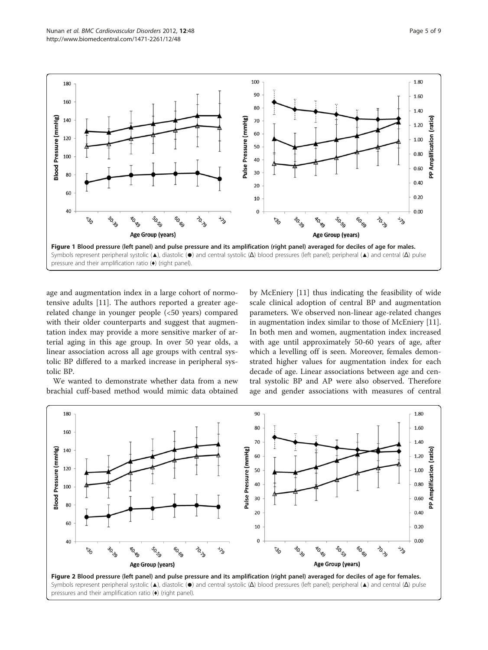<span id="page-4-0"></span>

age and augmentation index in a large cohort of normotensive adults [\[11](#page-8-0)]. The authors reported a greater agerelated change in younger people (<50 years) compared with their older counterparts and suggest that augmentation index may provide a more sensitive marker of arterial aging in this age group. In over 50 year olds, a linear association across all age groups with central systolic BP differed to a marked increase in peripheral systolic BP.

We wanted to demonstrate whether data from a new brachial cuff-based method would mimic data obtained

by McEniery [[11\]](#page-8-0) thus indicating the feasibility of wide scale clinical adoption of central BP and augmentation parameters. We observed non-linear age-related changes in augmentation index similar to those of McEniery [\[11](#page-8-0)]. In both men and women, augmentation index increased with age until approximately 50-60 years of age, after which a levelling off is seen. Moreover, females demonstrated higher values for augmentation index for each decade of age. Linear associations between age and central systolic BP and AP were also observed. Therefore age and gender associations with measures of central

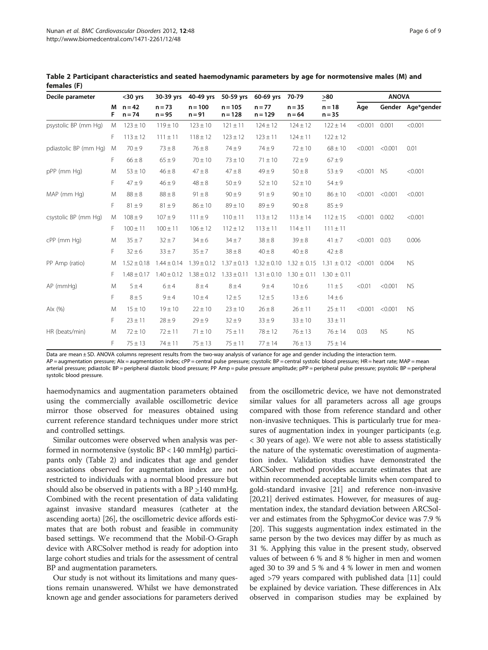| Decile parameter      |        | $30$ yrs             | 30-39 yrs            | 40-49 yrs             | 50-59 yrs              | 60-69 yrs             | 70-79                | >80                  | <b>ANOVA</b> |           |                   |
|-----------------------|--------|----------------------|----------------------|-----------------------|------------------------|-----------------------|----------------------|----------------------|--------------|-----------|-------------------|
|                       | М<br>F | $n = 42$<br>$n = 74$ | $n = 73$<br>$n = 95$ | $n = 100$<br>$n = 91$ | $n = 105$<br>$n = 128$ | $n = 77$<br>$n = 129$ | $n = 35$<br>$n = 64$ | $n = 18$<br>$n = 35$ | Age          |           | Gender Age*gender |
| psystolic BP (mm Hg)  | M      | $123 \pm 10$         | $119 \pm 10$         | $123 \pm 10$          | $121 \pm 11$           | $124 \pm 12$          | $124 \pm 12$         | $122 \pm 14$         | < 0.001      | 0.001     | < 0.001           |
|                       | F.     | $113 \pm 12$         | $111 \pm 11$         | $118 \pm 12$          | $123 \pm 12$           | $123 \pm 11$          | $124 \pm 11$         | $122 \pm 12$         |              |           |                   |
| pdiastolic BP (mm Hg) | M      | $70 \pm 9$           | $73 \pm 8$           | $76 \pm 8$            | $74 + 9$               | $74 + 9$              | $72 \pm 10$          | $68 \pm 10$          | < 0.001      | < 0.001   | 0.01              |
|                       | F.     | $66 \pm 8$           | $65 \pm 9$           | $70 \pm 10$           | $73 \pm 10$            | $71 \pm 10$           | $72 \pm 9$           | $67 \pm 9$           |              |           |                   |
| pPP (mm Hg)           | M      | $53 \pm 10$          | $46 \pm 8$           | $47 \pm 8$            | $47 \pm 8$             | $49 + 9$              | $50 \pm 8$           | $53 \pm 9$           | < 0.001      | <b>NS</b> | < 0.001           |
|                       | F      | $47 + 9$             | $46 \pm 9$           | $48 \pm 8$            | $50 \pm 9$             | $52 \pm 10$           | $52 \pm 10$          | $54 \pm 9$           |              |           |                   |
| MAP (mm Hg)           | M      | $88 \pm 8$           | $88 \pm 8$           | $91 \pm 8$            | $90 \pm 9$             | $91 \pm 9$            | $90 \pm 10$          | $86 \pm 10$          | < 0.001      | < 0.001   | < 0.001           |
|                       | F      | $81 \pm 9$           | $81 \pm 9$           | $86 \pm 10$           | $89 \pm 10$            | $89 \pm 9$            | $90 \pm 8$           | $85 \pm 9$           |              |           |                   |
| csystolic BP (mm Hg)  | M      | $108 \pm 9$          | $107 + 9$            | $111 \pm 9$           | $110 \pm 11$           | $113 \pm 12$          | $113 \pm 14$         | $112 \pm 15$         | < 0.001      | 0.002     | < 0.001           |
|                       | F.     | $100 \pm 11$         | $100 \pm 11$         | $106 \pm 12$          | $112 \pm 12$           | $113 \pm 11$          | $114 \pm 11$         | $111 \pm 11$         |              |           |                   |
| cPP (mm Hg)           | M      | $35 + 7$             | $32 \pm 7$           | $34 \pm 6$            | $34 \pm 7$             | $38 \pm 8$            | $39 \pm 8$           | $41 \pm 7$           | < 0.001      | 0.03      | 0.006             |
|                       | F      | $32 \pm 6$           | $33 \pm 7$           | $35 \pm 7$            | $38 \pm 8$             | $40\pm8$              | $40 \pm 8$           | $42 \pm 8$           |              |           |                   |
| PP Amp (ratio)        | M      | $1.52 \pm 0.18$      | $1.44 \pm 0.14$      | $1.39 \pm 0.12$       | $1.37 \pm 0.13$        | $1.32 \pm 0.10$       | $1.32 \pm 0.15$      | $1.31 \pm 0.12$      | < 0.001      | 0.004     | <b>NS</b>         |
|                       | F.     | $1.48 \pm 0.17$      | $1.40 \pm 0.12$      | $1.38 \pm 0.12$       | $1.33 \pm 0.11$        | $1.31 \pm 0.10$       | $1.30 \pm 0.11$      | $1.30 \pm 0.11$      |              |           |                   |
| $AP$ (mmHg)           | M      | 5±4                  | 6±4                  | $8 \pm 4$             | $8 \pm 4$              | 9±4                   | $10 \pm 6$           | $11 \pm 5$           | < 0.01       | < 0.001   | <b>NS</b>         |
|                       | F      | $8 \pm 5$            | $9 \pm 4$            | $10 \pm 4$            | $12 \pm 5$             | $12 \pm 5$            | $13 \pm 6$           | $14 \pm 6$           |              |           |                   |
| Alx $(%)$             | M      | $15 \pm 10$          | $19 + 10$            | $22 \pm 10$           | $23 \pm 10$            | $26 \pm 8$            | $26 \pm 11$          | $25 \pm 11$          | < 0.001      | < 0.001   | <b>NS</b>         |
|                       | F      | $23 \pm 11$          | $28 \pm 9$           | $29 \pm 9$            | $32 \pm 9$             | $33 \pm 9$            | $33 \pm 10$          | $33\pm11$            |              |           |                   |
| HR (beats/min)        | M      | $72 \pm 10$          | $72 \pm 11$          | $71 \pm 10$           | $75 \pm 11$            | $78 \pm 12$           | $76 \pm 13$          | $76 \pm 14$          | 0.03         | <b>NS</b> | <b>NS</b>         |
|                       | F      | $75 \pm 13$          | $74 \pm 11$          | $75 \pm 13$           | $75 + 11$              | $77 \pm 14$           | $76 \pm 13$          | $75 \pm 14$          |              |           |                   |

<span id="page-5-0"></span>Table 2 Participant characteristics and seated haemodynamic parameters by age for normotensive males (M) and females (F)

Data are mean ± SD. ANOVA columns represent results from the two-way analysis of variance for age and gender including the interaction term.

AP = augmentation pressure; Alx = augmentation index; cPP = central pulse pressure; csystolic BP = central systolic blood pressure; HR = heart rate; MAP = mean arterial pressure; pdiastolic BP = peripheral diastolic blood pressure; PP Amp = pulse pressure amplitude; pPP = peripheral pulse pressure; psystolic BP = peripheral

systolic blood pressure.

haemodynamics and augmentation parameters obtained using the commercially available oscillometric device mirror those observed for measures obtained using current reference standard techniques under more strict and controlled settings.

Similar outcomes were observed when analysis was performed in normotensive (systolic BP < 140 mmHg) participants only (Table 2) and indicates that age and gender associations observed for augmentation index are not restricted to individuals with a normal blood pressure but should also be observed in patients with a BP  $\geq$ 140 mmHg. Combined with the recent presentation of data validating against invasive standard measures (catheter at the ascending aorta) [\[26\]](#page-8-0), the oscillometric device affords estimates that are both robust and feasible in community based settings. We recommend that the Mobil-O-Graph device with ARCSolver method is ready for adoption into large cohort studies and trials for the assessment of central BP and augmentation parameters.

Our study is not without its limitations and many questions remain unanswered. Whilst we have demonstrated known age and gender associations for parameters derived from the oscillometric device, we have not demonstrated similar values for all parameters across all age groups compared with those from reference standard and other non-invasive techniques. This is particularly true for measures of augmentation index in younger participants (e.g. < 30 years of age). We were not able to assess statistically the nature of the systematic overestimation of augmentation index. Validation studies have demonstrated the ARCSolver method provides accurate estimates that are within recommended acceptable limits when compared to gold-standard invasive [\[21\]](#page-8-0) and reference non-invasive [[20,21](#page-8-0)] derived estimates. However, for measures of augmentation index, the standard deviation between ARCSolver and estimates from the SphygmoCor device was 7.9 % [[20](#page-8-0)]. This suggests augmentation index estimated in the same person by the two devices may differ by as much as 31 %. Applying this value in the present study, observed values of between 6 % and 8 % higher in men and women aged 30 to 39 and 5 % and 4 % lower in men and women aged >79 years compared with published data [\[11\]](#page-8-0) could be explained by device variation. These differences in AIx observed in comparison studies may be explained by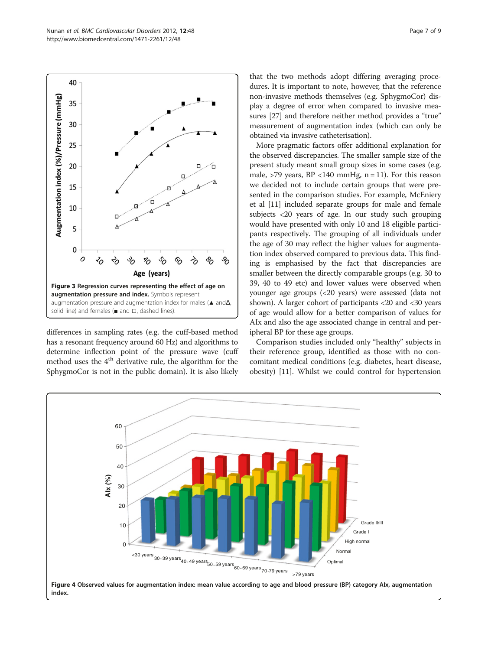<span id="page-6-0"></span>

differences in sampling rates (e.g. the cuff-based method has a resonant frequency around 60 Hz) and algorithms to determine inflection point of the pressure wave (cuff method uses the  $4<sup>th</sup>$  derivative rule, the algorithm for the SphygmoCor is not in the public domain). It is also likely that the two methods adopt differing averaging procedures. It is important to note, however, that the reference non-invasive methods themselves (e.g. SphygmoCor) display a degree of error when compared to invasive measures [[27](#page-8-0)] and therefore neither method provides a "true" measurement of augmentation index (which can only be obtained via invasive catheterisation).

More pragmatic factors offer additional explanation for the observed discrepancies. The smaller sample size of the present study meant small group sizes in some cases (e.g. male,  $>79$  years, BP <140 mmHg, n = 11). For this reason we decided not to include certain groups that were presented in the comparison studies. For example, McEniery et al [\[11](#page-8-0)] included separate groups for male and female subjects <20 years of age. In our study such grouping would have presented with only 10 and 18 eligible participants respectively. The grouping of all individuals under the age of 30 may reflect the higher values for augmentation index observed compared to previous data. This finding is emphasised by the fact that discrepancies are smaller between the directly comparable groups (e.g. 30 to 39, 40 to 49 etc) and lower values were observed when younger age groups (<20 years) were assessed (data not shown). A larger cohort of participants <20 and <30 years of age would allow for a better comparison of values for AIx and also the age associated change in central and peripheral BP for these age groups.

Comparison studies included only "healthy" subjects in their reference group, identified as those with no concomitant medical conditions (e.g. diabetes, heart disease, obesity) [[11](#page-8-0)]. Whilst we could control for hypertension

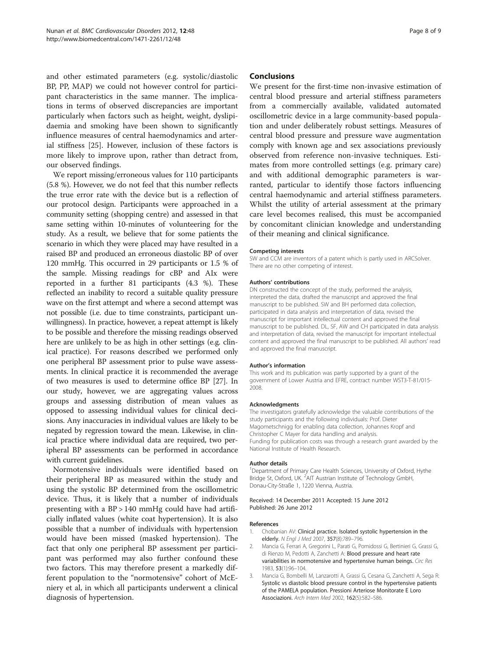<span id="page-7-0"></span>and other estimated parameters (e.g. systolic/diastolic BP, PP, MAP) we could not however control for participant characteristics in the same manner. The implications in terms of observed discrepancies are important particularly when factors such as height, weight, dyslipidaemia and smoking have been shown to significantly influence measures of central haemodynamics and arterial stiffness [[25\]](#page-8-0). However, inclusion of these factors is more likely to improve upon, rather than detract from, our observed findings.

We report missing/erroneous values for 110 participants (5.8 %). However, we do not feel that this number reflects the true error rate with the device but is a reflection of our protocol design. Participants were approached in a community setting (shopping centre) and assessed in that same setting within 10-minutes of volunteering for the study. As a result, we believe that for some patients the scenario in which they were placed may have resulted in a raised BP and produced an erroneous diastolic BP of over 120 mmHg. This occurred in 29 participants or 1.5 % of the sample. Missing readings for cBP and AIx were reported in a further 81 participants (4.3 %). These reflected an inability to record a suitable quality pressure wave on the first attempt and where a second attempt was not possible (i.e. due to time constraints, participant unwillingness). In practice, however, a repeat attempt is likely to be possible and therefore the missing readings observed here are unlikely to be as high in other settings (e.g. clinical practice). For reasons described we performed only one peripheral BP assessment prior to pulse wave assessments. In clinical practice it is recommended the average of two measures is used to determine office BP [\[27\]](#page-8-0). In our study, however, we are aggregating values across groups and assessing distribution of mean values as opposed to assessing individual values for clinical decisions. Any inaccuracies in individual values are likely to be negated by regression toward the mean. Likewise, in clinical practice where individual data are required, two peripheral BP assessments can be performed in accordance with current guidelines.

Normotensive individuals were identified based on their peripheral BP as measured within the study and using the systolic BP determined from the oscillometric device. Thus, it is likely that a number of individuals presenting with a BP > 140 mmHg could have had artificially inflated values (white coat hypertension). It is also possible that a number of individuals with hypertension would have been missed (masked hypertension). The fact that only one peripheral BP assessment per participant was performed may also further confound these two factors. This may therefore present a markedly different population to the "normotensive" cohort of McEniery et al, in which all participants underwent a clinical diagnosis of hypertension.

# Conclusions

We present for the first-time non-invasive estimation of central blood pressure and arterial stiffness parameters from a commercially available, validated automated oscillometric device in a large community-based population and under deliberately robust settings. Measures of central blood pressure and pressure wave augmentation comply with known age and sex associations previously observed from reference non-invasive techniques. Estimates from more controlled settings (e.g. primary care) and with additional demographic parameters is warranted, particular to identify those factors influencing central haemodynamic and arterial stiffness parameters. Whilst the utility of arterial assessment at the primary care level becomes realised, this must be accompanied by concomitant clinician knowledge and understanding of their meaning and clinical significance.

#### Competing interests

SW and CCM are inventors of a patent which is partly used in ARCSolver. There are no other competing of interest.

#### Authors' contributions

DN constructed the concept of the study, performed the analysis, interpreted the data, drafted the manuscript and approved the final manuscript to be published. SW and BH performed data collection, participated in data analysis and interpretation of data, revised the manuscript for important intellectual content and approved the final manuscript to be published. DL, SF, AW and CH participated in data analysis and interpretation of data, revised the manuscript for important intellectual content and approved the final manuscript to be published. All authors' read and approved the final manuscript.

#### Author's information

This work and its publication was partly supported by a grant of the government of Lower Austria and EFRE, contract number WST3-T-81/015- 2008.

#### Acknowledgments

The investigators gratefully acknowledge the valuable contributions of the study participants and the following individuals: Prof. Dieter Magometschnigg for enabling data collection, Johannes Kropf and Christopher C Mayer for data handling and analysis. Funding for publication costs was through a research grant awarded by the National Institute of Health Research.

#### Author details

<sup>1</sup>Department of Primary Care Health Sciences, University of Oxford, Hythe Bridge St, Oxford, UK. <sup>2</sup>AIT Austrian Institute of Technology GmbH, Donau-City-Straße 1, 1220 Vienna, Austria.

#### Received: 14 December 2011 Accepted: 15 June 2012 Published: 26 June 2012

#### References

- 1. Chobanian AV: Clinical practice. Isolated systolic hypertension in the elderly. N Engl J Med 2007, 357(8):789–796.
- 2. Mancia G, Ferrari A, Gregorini L, Parati G, Pomidossi G, Bertinieri G, Grassi G, di Rienzo M, Pedotti A, Zanchetti A: Blood pressure and heart rate variabilities in normotensive and hypertensive human beings. Circ Res 1983, 53(1):96–104.
- 3. Mancia G, Bombelli M, Lanzarotti A, Grassi G, Cesana G, Zanchetti A, Sega R: Systolic vs diastolic blood pressure control in the hypertensive patients of the PAMELA population. Pressioni Arteriose Monitorate E Loro Associazioni. Arch Intern Med 2002, 162(5):582–586.